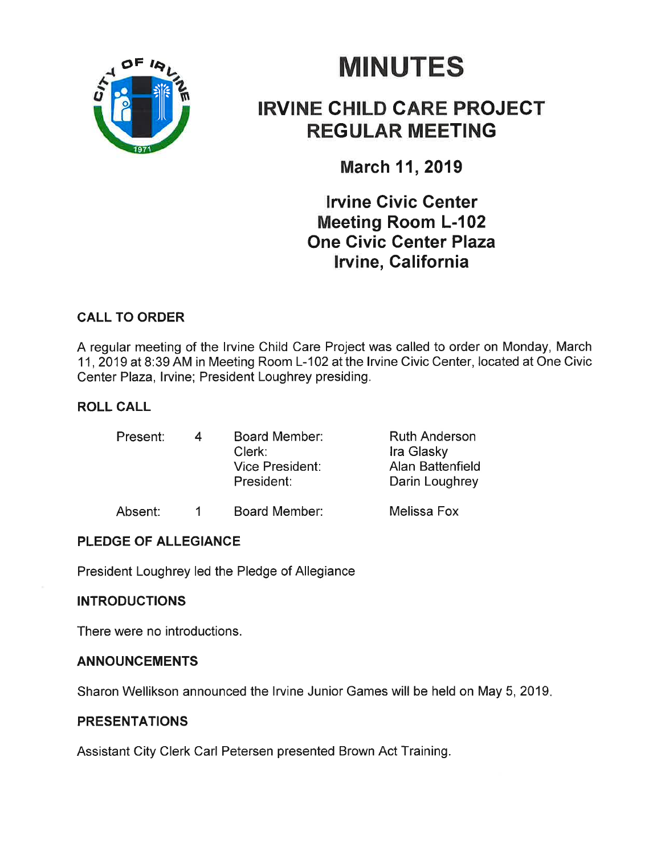

# **MINUTES**

### IRVINE CHILD CARE PROJEGT REGULAR MEETING

March 11, 2019

lrvine Civic Center Meeting Room L-102 One Givic Center Plaza lrvine, California

### CALL TO ORDER

A regular meeting of the lrvine Child Care Project was called to order on Monday, March 11,2019 at 8:39 AM in Meeting Room L-102 at the lrvine Civic Center, located at One Civic Center Plaza, lrvine; President Loughrey presiding.

#### ROLL CALL

| Present: | 4 | Board Member:<br>Clerk:<br><b>Vice President:</b><br>President: | <b>Ruth Anderson</b><br>Ira Glasky<br>Alan Battenfield<br>Darin Loughrey |
|----------|---|-----------------------------------------------------------------|--------------------------------------------------------------------------|
|          |   |                                                                 |                                                                          |

#### Absent: 1 Board Member: Melissa Fox

### PLEDGE OF ALLEGIANCE

President Loughrey led the Pledge of Allegiance

#### INTRODUCTIONS

There were no introductions.

#### ANNOUNCEMENTS

Sharon Wellikson announced the lrvine Junior Games will be held on May 5, 2019

#### PRESENTATIONS

Assistant City Clerk Carl Petersen presented Brown Act Training.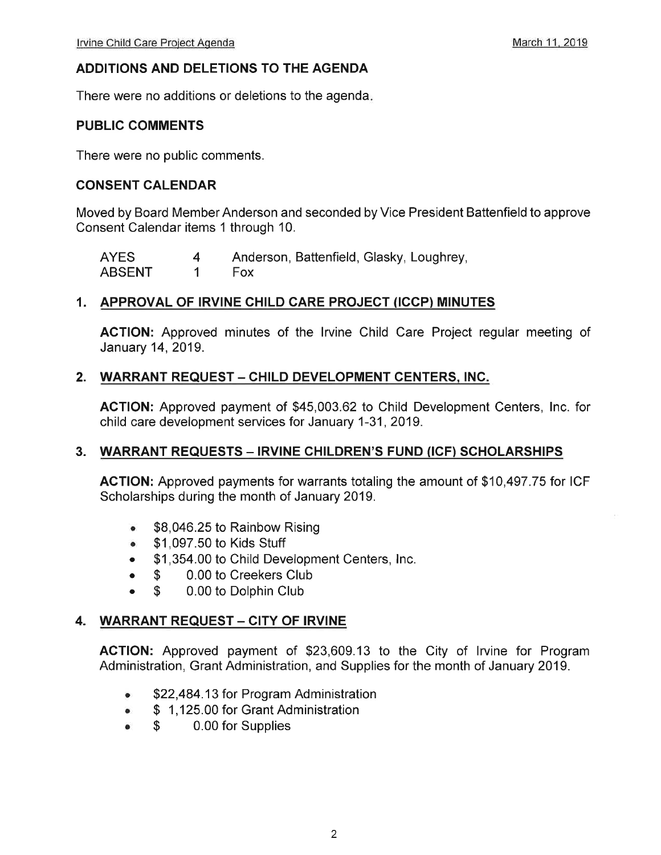#### ADDITIONS AND DELETIONS TO THE AGENDA

There were no additions or deletions to the agenda

#### PUBLIC COMMENTS

There were no public comments.

#### CONSENT CALENDAR

Moved by Board MemberAnderson and seconded by Vice President Battenfield to approve Consent Calendar items 1 through 10.

| <b>AYES</b>   | Anderson, Battenfield, Glasky, Loughrey, |
|---------------|------------------------------------------|
| <b>ABSENT</b> | - Fox                                    |

#### 1. APPROVAL OF IRVINE CHILD CARE PROJECT (ICCP) MINUTES

ACTION: Approved minutes of the lrvine Child Care Project regular meeting of January 14,2019.

#### 2. WARRANT REQUEST - CHILD DEVELOPMENT CENTERS, INC.

ACTION: Approved payment of \$45,003.62 to Child Development Centers, lnc. for child care development services for January 1-31,2019.

#### 3. WARRANT REQUESTS - IRVINE CHILDREN'S FUND (ICF) SCHOLARSHIPS

ACTION: Approved payments for warrants totaling the amount of \$10,497.75 for ICF Scholarships during the month of January 2019.

- $\bullet$  \$8,046.25 to Rainbow Rising
- \$1,097.50 to Kids Stuff
- . \$1,354.00 to Child Development Centers, lnc.
- \$ 0.00 to Creekers Club<br>\$ 0.00 to Dolphin Club
- 0.00 to Dolphin Club

#### 4. WARRANT REQUEST - CITY OF IRVINE

AGTION: Approved payment of \$23,609.13 to the City of lrvine for Program Administration, Grant Administration, and Supplies for the month of January 2019.

- \$22,484.13 for Program Administration
- \$ 1,125.00 for Grant Administration<br>• \$ 0.00 for Supplies
- 0.00 for Supplies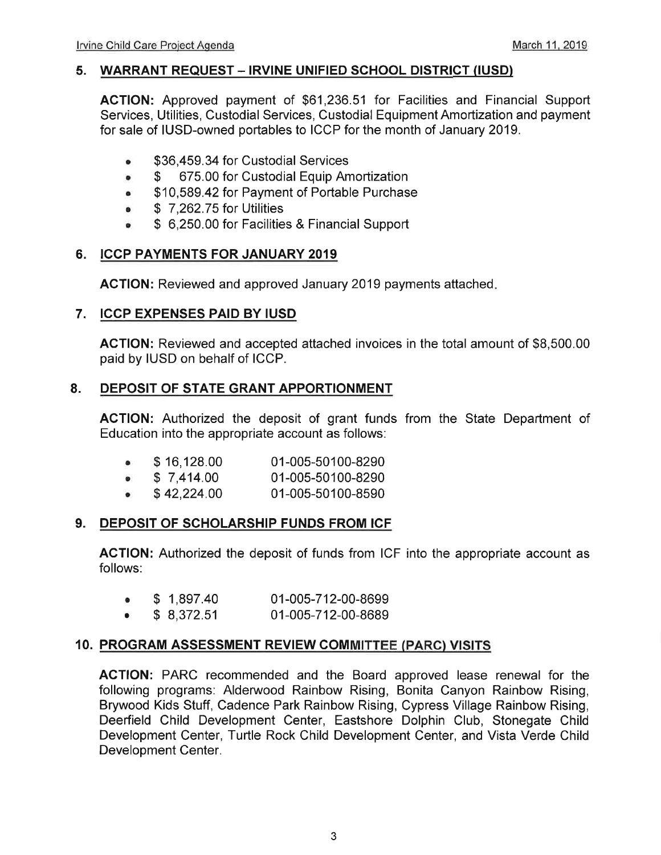#### 5. WARRANT REQUEST - IRVINE UNIFIED SCHOOL DISTRICT (IUSD)

ACTION: Approved payment of \$61,236.51 for Facilities and Financial Support Services, Utilities, Custodial Services, Custodial Equipment Amortization and payment for sale of IUSD-owned portables to ICCP for the month of January 2019.

- **\$36,459.34 for Custodial Services**
- o \$ 675.00 for Custodial Equip Amortization
- . \$10,589.42 for Payment of Portable Purchase
- o \$ 7,262.75 for Utilities
- \$ 6,250.00 for Facilities & Financial Support

#### 6. ICCP PAYMENTS FOR JANUARY <sup>2019</sup>

ACTION: Reviewed and approved January 2019 payments attached

#### 7. ICCP EXPENSES PAID BY IUSD

ACTION: Reviewed and accepted attached invoices in the total amount of \$8,500.00 paid by IUSD on behalf of ICCP.

#### 8. DEPOSIT OF STATE GRANT APPORTIONMENT

ACTION: Authorized the deposit of grant funds from the State Department of Education into the appropriate account as follows:

| \$16,128.00 | 01-005-50100-8290 |
|-------------|-------------------|
|             |                   |

 $$7,414.00$ 01-005-50100-8290

 $\bullet$  \$42,224.00 01-005-50100-8590

#### 9. DEPOSIT OF SCHOLARSHIP FUNDS FROM ICF

ACTION: Authorized the deposit of funds from ICF into the appropriate account as follows:

- $$1,897.40$ 01-005-712-00-8699
- $\bullet$  \$ 8,372.51 01-005-712-00-8689

#### 10. PROGRAM ASSESSMENT REVIEW COMMITTEE (PARC) VISITS

AGTION: PARC recommended and the Board approved lease renewal for the following programs: Alderwood Rainbow Rising, Bonita Canyon Rainbow Rising, Brywood Kids Stuff, Cadence Park Rainbow Rising, Cypress Village Rainbow Rising, Deerfield Child Development Center, Eastshore Dolphin Club, Stonegate Child Development Center, Turtle Rock Child Development Center, and Vista Verde Child Development Center.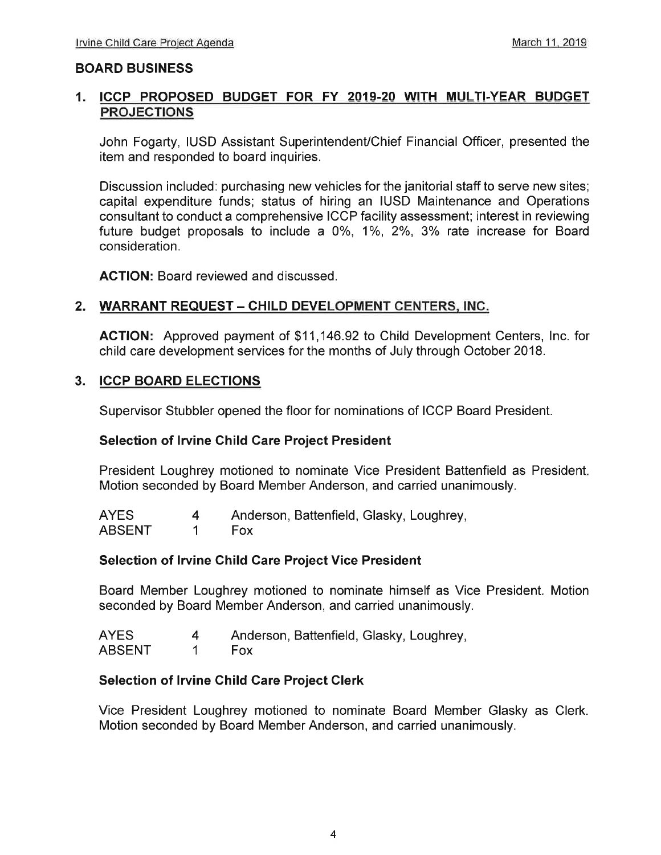#### BOARD BUSINESS

## 1. <u>ICCP PROPOSED BUDGET FOR FY 2019-20 WITH MULTI-YEAR BUDGET</u><br>PROJECTIONS

John Fogarty, IUSD Assistant Superintendent/Chief Financial Officer, presented the item and responded to board inquiries.

Discussion included: purchasing new vehicles for the janitorial staff to serve new sites; capital expenditure funds; status of hiring an IUSD Maintenance and Operations consultant to conduct a comprehensive ICCP facility assessment; interest in reviewing future budget proposals to include a  $0\%$ ,  $1\%$ ,  $2\%$ ,  $3\%$  rate increase for Board consideration.

ACTION: Board reviewed and discussed.

#### 2. WARRANT REQUEST - CHILD DEVELOPMENT CENTERS, INC.

ACTION: Approved payment of \$11,146.92 to Child Development Centers, lnc. for child care development services for the months of July through October 2018.

#### 3. ICCP BOARD ELECTIONS

Supervisor Stubbler opened the floor for nominations of ICCP Board President.

#### Selection of Irvine Child Care Project President

President Loughrey motioned to nominate Vice President Battenfield as President Motion seconded by Board Member Anderson, and carried unanimously.

| <b>AYES</b>   | Anderson, Battenfield, Glasky, Loughrey, |
|---------------|------------------------------------------|
| <b>ABSENT</b> | <b>Fox</b>                               |

#### Selection of Irvine Child Care Project Vice President

Board Member Loughrey motioned to nominate himself as Vice President. Motion seconded by Board Member Anderson, and carried unanimously.

| <b>AYES</b>   | Anderson, Battenfield, Glasky, Loughrey, |
|---------------|------------------------------------------|
| <b>ABSENT</b> | <b>Fox</b>                               |

#### Selection of Irvine Child Care Project Clerk

Vice President Loughrey motioned to nominate Board Member Glasky as Clerk. Motion seconded by Board Member Anderson, and carried unanimously.